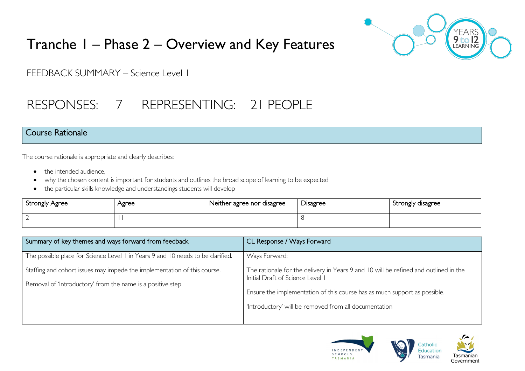# Tranche 1 – Phase 2 – Overview and Key Features



FEEDBACK SUMMARY – Science Level 1

# RESPONSES: 7 REPRESENTING: 21 PEOPLE

### Course Rationale

The course rationale is appropriate and clearly describes:

- the intended audience.
- why the chosen content is important for students and outlines the broad scope of learning to be expected
- the particular skills knowledge and understandings students will develop

| <b>Strongly Agree</b> | Agree | Neither agree nor disagree | <b>Disagree</b> | Strongly disagree |
|-----------------------|-------|----------------------------|-----------------|-------------------|
|                       |       |                            |                 |                   |

| Summary of key themes and ways forward from feedback                                                                                   | CL Response / Ways Forward                                                                                               |
|----------------------------------------------------------------------------------------------------------------------------------------|--------------------------------------------------------------------------------------------------------------------------|
| The possible place for Science Level I in Years 9 and 10 needs to be clarified.                                                        | Ways Forward:                                                                                                            |
| Staffing and cohort issues may impede the implementation of this course.<br>Removal of 'Introductory' from the name is a positive step | The rationale for the delivery in Years 9 and 10 will be refined and outlined in the<br>Initial Draft of Science Level I |
|                                                                                                                                        | Ensure the implementation of this course has as much support as possible.                                                |
|                                                                                                                                        | 'Introductory' will be removed from all documentation                                                                    |

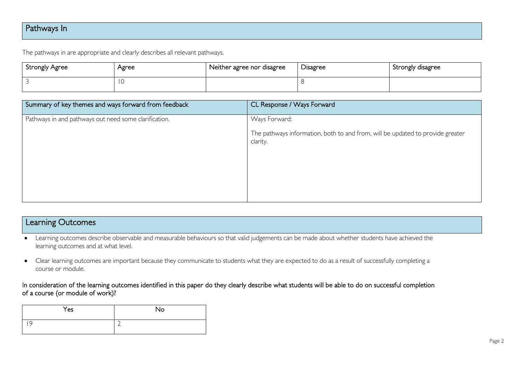## Pathways In

The pathways in are appropriate and clearly describes all relevant pathways.

| Strongly Agree | Agree | Neither agree nor disagree | Disagree | , Strongly disagree |
|----------------|-------|----------------------------|----------|---------------------|
|                |       |                            |          |                     |

| Summary of key themes and ways forward from feedback  | CL Response / Ways Forward                                                                 |
|-------------------------------------------------------|--------------------------------------------------------------------------------------------|
| Pathways in and pathways out need some clarification. | Ways Forward:                                                                              |
|                                                       | The pathways information, both to and from, will be updated to provide greater<br>clarity. |
|                                                       |                                                                                            |

| Learning Outcomes                                                                                                                             |
|-----------------------------------------------------------------------------------------------------------------------------------------------|
| Learning outcomes describe observable and measurable behaviours so that valid judgements can be made about whether students have achieved the |
| learning outcomes and at what level.                                                                                                          |

• Clear learning outcomes are important because they communicate to students what they are expected to do as a result of successfully completing a course or module.

#### In consideration of the learning outcomes identified in this paper do they clearly describe what students will be able to do on successful completion of a course (or module of work)?

| Yes | No            |
|-----|---------------|
| Q   | ∽<br><u>_</u> |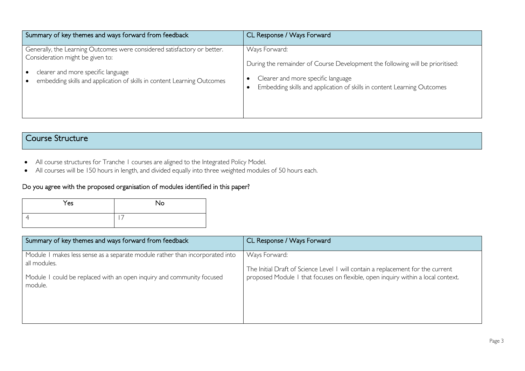| Summary of key themes and ways forward from feedback                     | CL Response / Ways Forward                                                    |
|--------------------------------------------------------------------------|-------------------------------------------------------------------------------|
| Generally, the Learning Outcomes were considered satisfactory or better. | Ways Forward:                                                                 |
| Consideration might be given to:                                         | During the remainder of Course Development the following will be prioritised: |
| clearer and more specific language                                       | Clearer and more specific language                                            |
| embedding skills and application of skills in content Learning Outcomes  | Embedding skills and application of skills in content Learning Outcomes       |

## Course Structure

- All course structures for Tranche 1 courses are aligned to the Integrated Policy Model.
- All courses will be 150 hours in length, and divided equally into three weighted modules of 50 hours each.

#### Do you agree with the proposed organisation of modules identified in this paper?

| Yes | No |
|-----|----|
|     |    |

| Summary of key themes and ways forward from feedback                                                                                                                             | CL Response / Ways Forward                                                                                                                                                           |
|----------------------------------------------------------------------------------------------------------------------------------------------------------------------------------|--------------------------------------------------------------------------------------------------------------------------------------------------------------------------------------|
| Module I makes less sense as a separate module rather than incorporated into<br>all modules.<br>Module 1 could be replaced with an open inquiry and community focused<br>module. | Ways Forward:<br>The Initial Draft of Science Level 1 will contain a replacement for the current<br>proposed Module 1 that focuses on flexible, open inquiry within a local context. |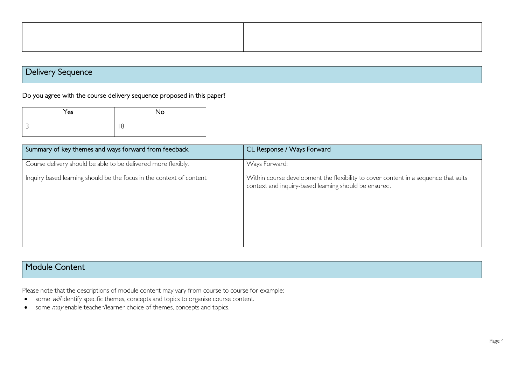Delivery Sequence

Do you agree with the course delivery sequence proposed in this paper?

| Yes | <b>No</b> |
|-----|-----------|
|     | 8         |

| Summary of key themes and ways forward from feedback                  | CL Response / Ways Forward                                                                                                                   |
|-----------------------------------------------------------------------|----------------------------------------------------------------------------------------------------------------------------------------------|
| Course delivery should be able to be delivered more flexibly.         | Ways Forward:                                                                                                                                |
| Inquiry based learning should be the focus in the context of content. | Within course development the flexibility to cover content in a sequence that suits<br>context and inquiry-based learning should be ensured. |

### Module Content

Please note that the descriptions of module content may vary from course to course for example:

- some will identify specific themes, concepts and topics to organise course content.
- some *may* enable teacher/learner choice of themes, concepts and topics.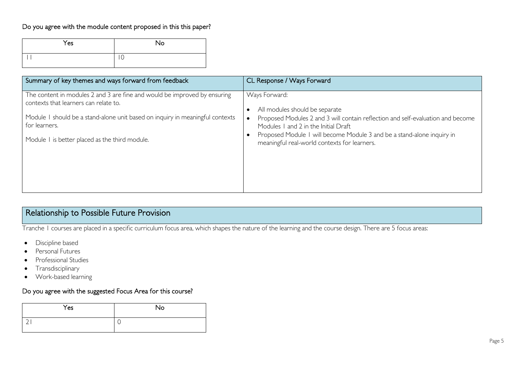#### Do you agree with the module content proposed in this this paper?

| Yes | No          |
|-----|-------------|
|     | $\sim$<br>◡ |

| Summary of key themes and ways forward from feedback                                                               | CL Response / Ways Forward                                                                                              |
|--------------------------------------------------------------------------------------------------------------------|-------------------------------------------------------------------------------------------------------------------------|
| The content in modules 2 and 3 are fine and would be improved by ensuring<br>contexts that learners can relate to. | Ways Forward:<br>All modules should be separate                                                                         |
| Module I should be a stand-alone unit based on inquiry in meaningful contexts<br>for learners.                     | Proposed Modules 2 and 3 will contain reflection and self-evaluation and become<br>Modules 1 and 2 in the Initial Draft |
| Module I is better placed as the third module.                                                                     | Proposed Module 1 will become Module 3 and be a stand-alone inquiry in<br>meaningful real-world contexts for learners.  |
|                                                                                                                    |                                                                                                                         |
|                                                                                                                    |                                                                                                                         |

# Relationship to Possible Future Provision

Tranche 1 courses are placed in a specific curriculum focus area, which shapes the nature of the learning and the course design. There are 5 focus areas:

- Discipline based
- Personal Futures
- Professional Studies
- Transdisciplinary
- Work-based learning

#### Do you agree with the suggested Focus Area for this course?

| Yes | No |
|-----|----|
|     | ◡  |